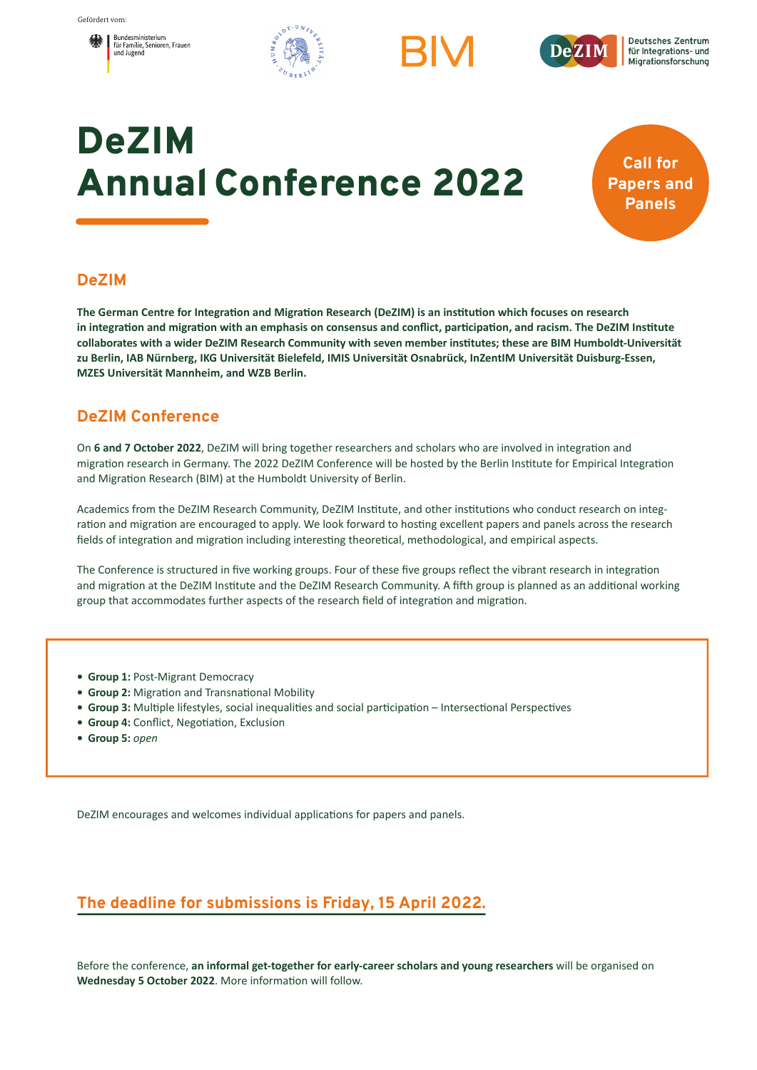



# DeZIM Annual Conference 2022

**Call for Papers and Panels**

## **DeZIM**

The German Centre for Integration and Migration Research (DeZIM) is an institution which focuses on research in integration and migration with an emphasis on consensus and conflict, participation, and racism. The DeZIM Institute **collaborates with a wider DeZIM Research Community with seven member insti tutes; these are BIM Humboldt-Universität zu Berlin, IAB Nürnberg, IKG Universität Bielefeld, IMIS Universität Osnabrück, InZentIM Universität Duisburg-Essen, MZES Universität Mannheim, and WZB Berlin.** 

## **DeZIM Conference**

On 6 and 7 October 2022, DeZIM will bring together researchers and scholars who are involved in integration and migration research in Germany. The 2022 DeZIM Conference will be hosted by the Berlin Institute for Empirical Integration and Migration Research (BIM) at the Humboldt University of Berlin.

Academics from the DeZIM Research Community, DeZIM Institute, and other institutions who conduct research on integration and migration are encouraged to apply. We look forward to hosting excellent papers and panels across the research fields of integration and migration including interesting theoretical, methodological, and empirical aspects.

The Conference is structured in five working groups. Four of these five groups reflect the vibrant research in integration and migration at the DeZIM Institute and the DeZIM Research Community. A fifth group is planned as an additional working group that accommodates further aspects of the research field of integration and migration.

- **Group 1:** Post-Migrant Democracy
- Group 2: Migration and Transnational Mobility
- Group 3: Multiple lifestyles, social inequalities and social participation Intersectional Perspectives
- Group 4: Conflict, Negotiation, Exclusion
- **Group 5:** *open*

DeZIM encourages and welcomes individual applications for papers and panels.

## **The deadline for submissions is Friday, 15 April 2022.**

Before the conference, **an informal get-together for early-career scholars and young researchers** will be organised on Wednesday 5 October 2022. More information will follow.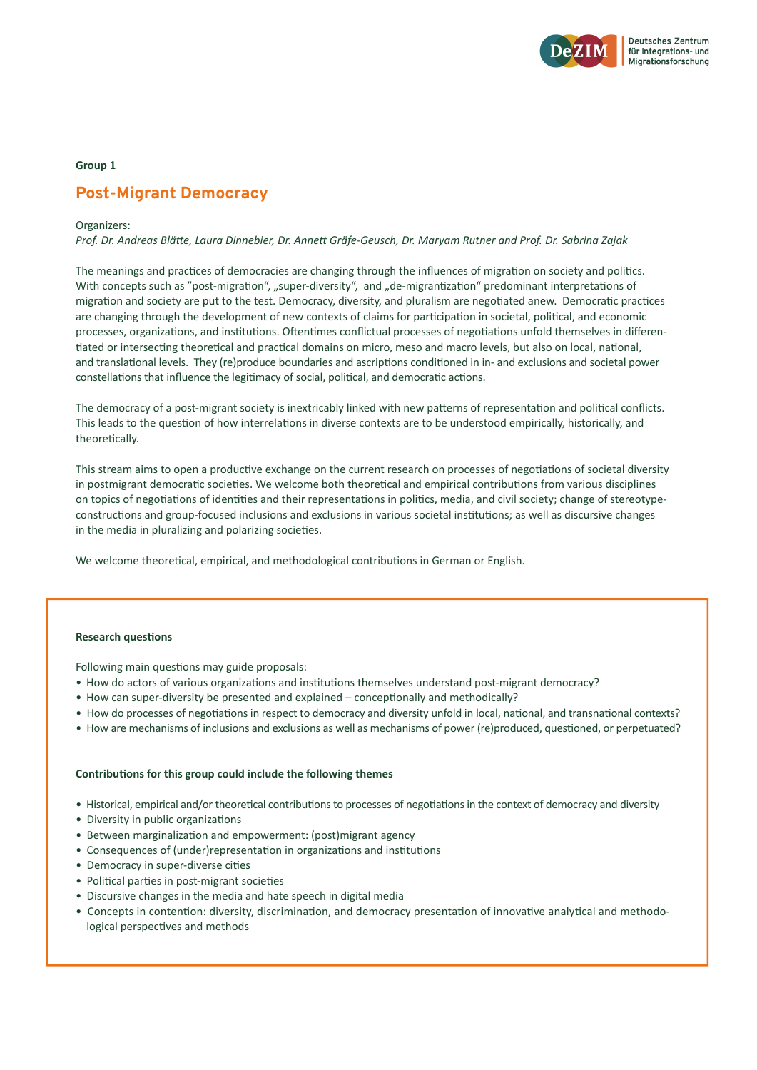

## **Group 1 Post-Migrant Democracy**

#### Organizers:

Prof. Dr. Andreas Blätte, Laura Dinnebier, Dr. Annett Gräfe-Geusch, Dr. Maryam Rutner and Prof. Dr. Sabrina Zajak

The meanings and practices of democracies are changing through the influences of migration on society and politics. With concepts such as "post-migration", "super-diversity", and "de-migrantization" predominant interpretations of migration and society are put to the test. Democracy, diversity, and pluralism are negotiated anew. Democratic practices are changing through the development of new contexts of claims for participation in societal, political, and economic processes, organizations, and institutions. Oftentimes conflictual processes of negotiations unfold themselves in differentiated or intersecting theoretical and practical domains on micro, meso and macro levels, but also on local, national, and translational levels. They (re)produce boundaries and ascriptions conditioned in in- and exclusions and societal power constellations that influence the legitimacy of social, political, and democratic actions.

The democracy of a post-migrant society is inextricably linked with new patterns of representation and political conflicts. This leads to the question of how interrelations in diverse contexts are to be understood empirically, historically, and theoretically.

This stream aims to open a productive exchange on the current research on processes of negotiations of societal diversity in postmigrant democratic societies. We welcome both theoretical and empirical contributions from various disciplines on topics of negotiations of identities and their representations in politics, media, and civil society; change of stereotypeconstructions and group-focused inclusions and exclusions in various societal institutions; as well as discursive changes in the media in pluralizing and polarizing societies.

We welcome theoretical, empirical, and methodological contributions in German or English.

#### **Research questions**

Following main questions may guide proposals:

- How do actors of various organizations and institutions themselves understand post-migrant democracy?
- How can super-diversity be presented and explained conceptionally and methodically?
- How do processes of negotiations in respect to democracy and diversity unfold in local, national, and transnational contexts?
- How are mechanisms of inclusions and exclusions as well as mechanisms of power (re)produced, questioned, or perpetuated?

#### Contributions for this group could include the following themes

- Historical, empirical and/or theoretical contributions to processes of negotiations in the context of democracy and diversity
- Diversity in public organizations
- Between marginalization and empowerment: (post)migrant agency
- Consequences of (under)representation in organizations and institutions
- Democracy in super-diverse cities
- Political parties in post-migrant societies
- Discursive changes in the media and hate speech in digital media
- Concepts in contention: diversity, discrimination, and democracy presentation of innovative analytical and methodological perspectives and methods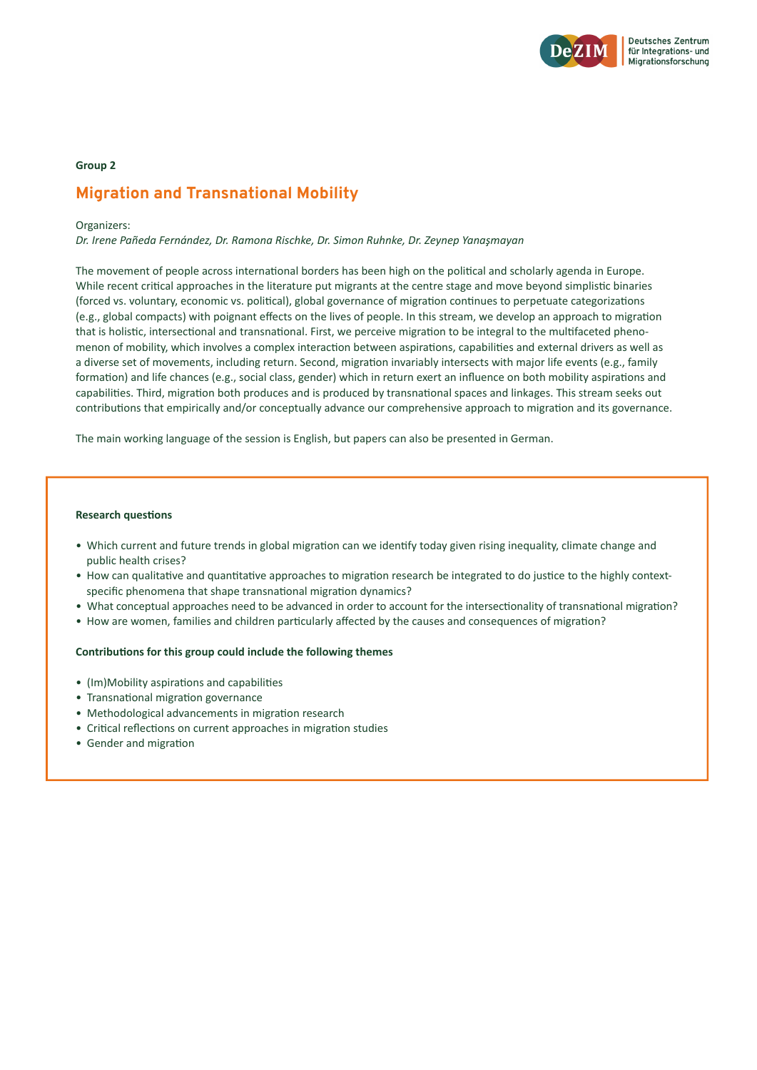

## **Group 2 Migration and Transnational Mobility**

#### Organizers:

*Dr. Irene Pañeda Fernández, Dr. Ramona Rischke, Dr. Simon Ruhnke, Dr. Zeynep Yanaşmayan* 

The movement of people across international borders has been high on the political and scholarly agenda in Europe. While recent critical approaches in the literature put migrants at the centre stage and move beyond simplistic binaries (forced vs. voluntary, economic vs. political), global governance of migration continues to perpetuate categorizations (e.g., global compacts) with poignant effects on the lives of people. In this stream, we develop an approach to migration that is holistic, intersectional and transnational. First, we perceive migration to be integral to the multifaceted phenomenon of mobility, which involves a complex interaction between aspirations, capabilities and external drivers as well as a diverse set of movements, including return. Second, migration invariably intersects with major life events (e.g., family formation) and life chances (e.g., social class, gender) which in return exert an influence on both mobility aspirations and capabilities. Third, migration both produces and is produced by transnational spaces and linkages. This stream seeks out contributions that empirically and/or conceptually advance our comprehensive approach to migration and its governance.

The main working language of the session is English, but papers can also be presented in German.

#### **Research questions**

- Which current and future trends in global migration can we identify today given rising inequality, climate change and public health crises?
- How can qualitative and quantitative approaches to migration research be integrated to do justice to the highly contextspecific phenomena that shape transnational migration dynamics?
- What conceptual approaches need to be advanced in order to account for the intersectionality of transnational migration?
- How are women, families and children particularly affected by the causes and consequences of migration?

#### Contributions for this group could include the following themes

- (Im)Mobility aspirations and capabilities
- Transnational migration governance
- Methodological advancements in migration research
- Critical reflections on current approaches in migration studies
- Gender and migration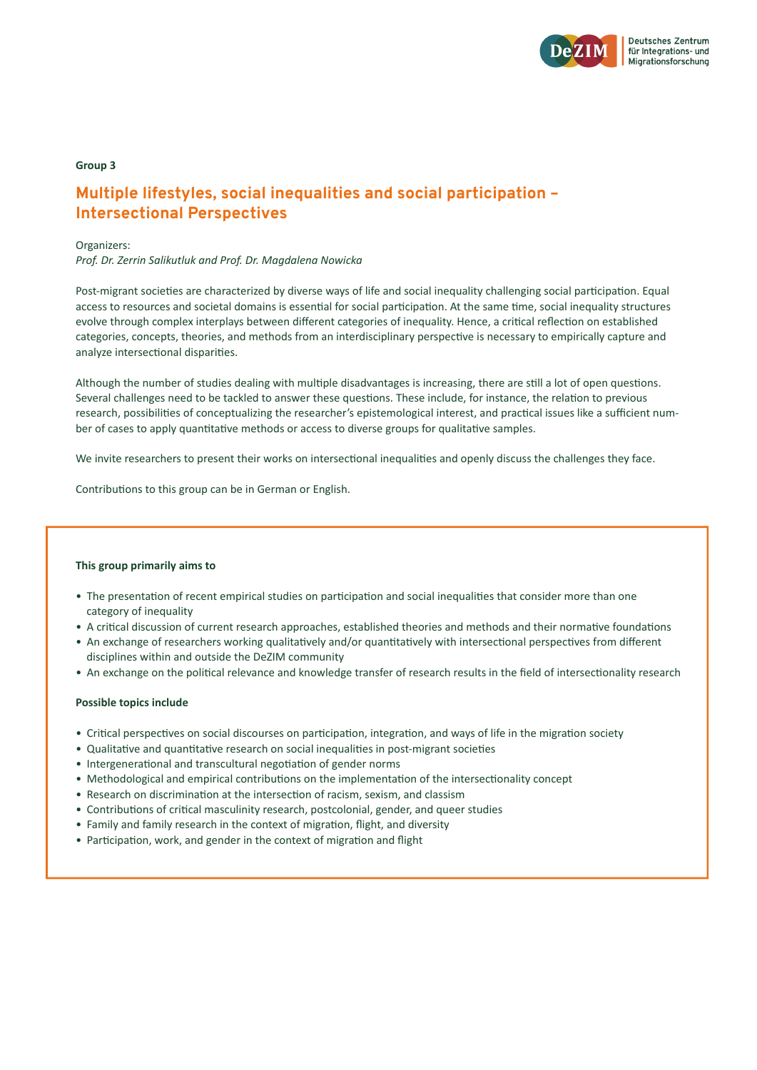

#### **Group 3**

## **Multiple lifestyles, social inequalities and social participation – Intersectional Perspectives**

#### Organizers:

*Prof. Dr. Zerrin Salikutluk and Prof. Dr. Magdalena Nowicka*

Post-migrant societies are characterized by diverse ways of life and social inequality challenging social participation. Equal access to resources and societal domains is essential for social participation. At the same time, social inequality structures evolve through complex interplays between different categories of inequality. Hence, a critical reflection on established categories, concepts, theories, and methods from an interdisciplinary perspective is necessary to empirically capture and analyze intersectional disparities.

Although the number of studies dealing with multiple disadvantages is increasing, there are still a lot of open questions. Several challenges need to be tackled to answer these questions. These include, for instance, the relation to previous research, possibilities of conceptualizing the researcher's epistemological interest, and practical issues like a sufficient number of cases to apply quantitative methods or access to diverse groups for qualitative samples.

We invite researchers to present their works on intersectional inequalities and openly discuss the challenges they face.

Contributions to this group can be in German or English.

#### **This group primarily aims to**

- The presentation of recent empirical studies on participation and social inequalities that consider more than one category of inequality
- A critical discussion of current research approaches, established theories and methods and their normative foundations
- An exchange of researchers working qualitatively and/or quantitatively with intersectional perspectives from different disciplines within and outside the DeZIM community
- An exchange on the political relevance and knowledge transfer of research results in the field of intersectionality research

#### **Possible topics include**

- Critical perspectives on social discourses on participation, integration, and ways of life in the migration society
- Qualitative and quantitative research on social inequalities in post-migrant societies
- Intergenerational and transcultural negotiation of gender norms
- Methodological and empirical contributions on the implementation of the intersectionality concept
- Research on discrimination at the intersection of racism, sexism, and classism
- Contributions of critical masculinity research, postcolonial, gender, and queer studies
- Family and family research in the context of migration, flight, and diversity
- Participation, work, and gender in the context of migration and flight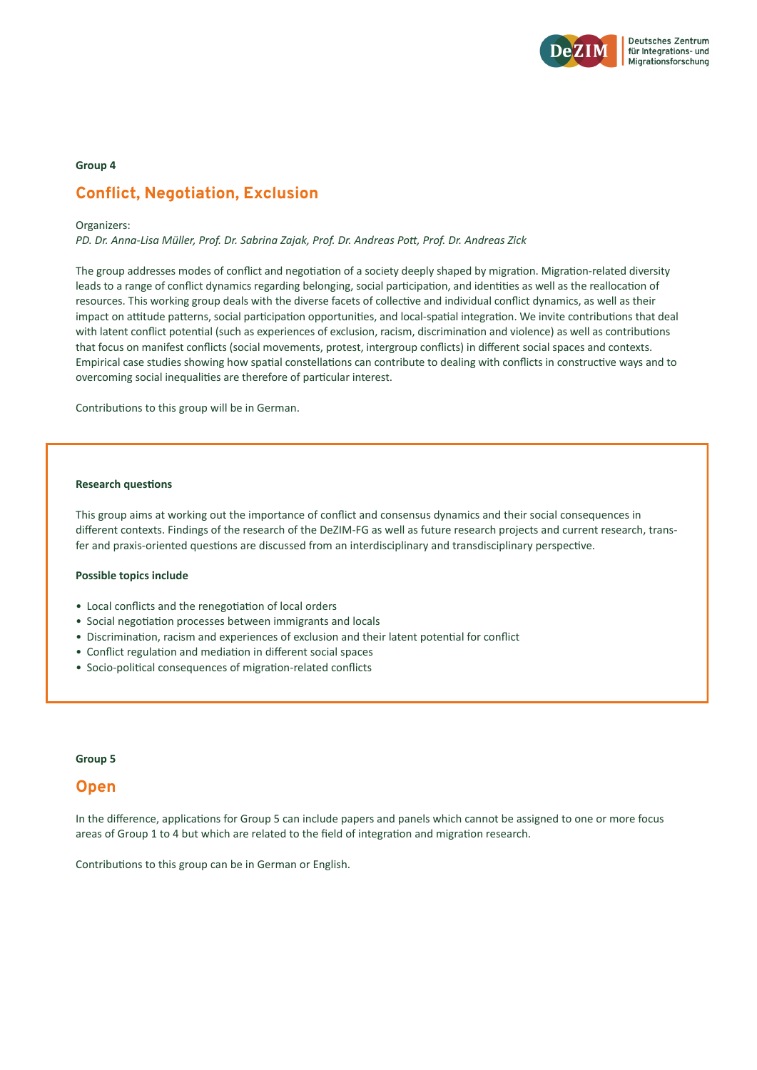

## **Group 4 Confl ict, Negotiation, Exclusion**

#### Organizers:

*PD. Dr. Anna-Lisa Müller, Prof. Dr. Sabrina Zajak, Prof. Dr. Andreas Pott , Prof. Dr. Andreas Zick*

The group addresses modes of conflict and negotiation of a society deeply shaped by migration. Migration-related diversity leads to a range of conflict dynamics regarding belonging, social participation, and identities as well as the reallocation of resources. This working group deals with the diverse facets of collective and individual conflict dynamics, as well as their impact on attitude patterns, social participation opportunities, and local-spatial integration. We invite contributions that deal with latent conflict potential (such as experiences of exclusion, racism, discrimination and violence) as well as contributions that focus on manifest conflicts (social movements, protest, intergroup conflicts) in different social spaces and contexts. Empirical case studies showing how spatial constellations can contribute to dealing with conflicts in constructive ways and to overcoming social inequalities are therefore of particular interest.

Contributions to this group will be in German.

#### **Research questions**

This group aims at working out the importance of conflict and consensus dynamics and their social consequences in different contexts. Findings of the research of the DeZIM-FG as well as future research projects and current research, transfer and praxis-oriented questions are discussed from an interdisciplinary and transdisciplinary perspective.

#### **Possible topics include**

- Local conflicts and the renegotiation of local orders
- Social negotiation processes between immigrants and locals
- Discrimination, racism and experiences of exclusion and their latent potential for conflict
- Conflict regulation and mediation in different social spaces
- Socio-political consequences of migration-related conflicts

#### **Group 5**

### **Open**

In the difference, applications for Group 5 can include papers and panels which cannot be assigned to one or more focus areas of Group 1 to 4 but which are related to the field of integration and migration research.

Contributions to this group can be in German or English.